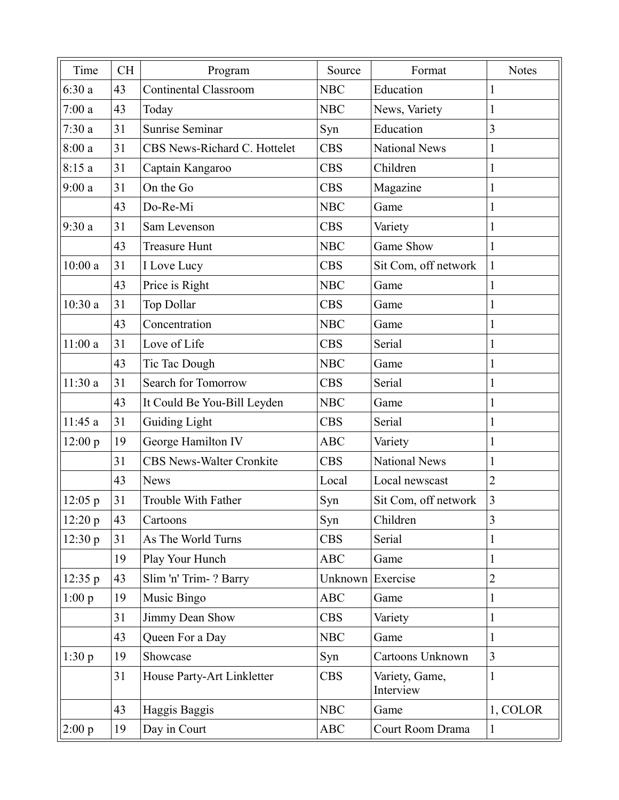| Time    | <b>CH</b> | Program                         | Source           | Format                      | <b>Notes</b>   |
|---------|-----------|---------------------------------|------------------|-----------------------------|----------------|
| 6:30a   | 43        | <b>Continental Classroom</b>    | <b>NBC</b>       | Education                   | $\mathbf{1}$   |
| 7:00a   | 43        | Today                           | <b>NBC</b>       | News, Variety               | $\mathbf{1}$   |
| 7:30a   | 31        | Sunrise Seminar                 | Syn              | Education                   | 3              |
| 8:00a   | 31        | CBS News-Richard C. Hottelet    | <b>CBS</b>       | <b>National News</b>        | $\mathbf{1}$   |
| 8:15a   | 31        | Captain Kangaroo                | <b>CBS</b>       | Children                    | $\mathbf{1}$   |
| 9:00a   | 31        | On the Go                       | <b>CBS</b>       | Magazine                    | $\mathbf{1}$   |
|         | 43        | Do-Re-Mi                        | <b>NBC</b>       | Game                        | $\mathbf{1}$   |
| 9:30a   | 31        | Sam Levenson                    | <b>CBS</b>       | Variety                     | $\mathbf{1}$   |
|         | 43        | <b>Treasure Hunt</b>            | <b>NBC</b>       | Game Show                   | $\mathbf{1}$   |
| 10:00a  | 31        | I Love Lucy                     | <b>CBS</b>       | Sit Com, off network        | $\mathbf{1}$   |
|         | 43        | Price is Right                  | <b>NBC</b>       | Game                        | $\mathbf{1}$   |
| 10:30a  | 31        | Top Dollar                      | <b>CBS</b>       | Game                        | $\mathbf{1}$   |
|         | 43        | Concentration                   | <b>NBC</b>       | Game                        | $\mathbf{1}$   |
| 11:00a  | 31        | Love of Life                    | <b>CBS</b>       | Serial                      | $\mathbf{1}$   |
|         | 43        | Tic Tac Dough                   | <b>NBC</b>       | Game                        | $\mathbf{1}$   |
| 11:30a  | 31        | Search for Tomorrow             | <b>CBS</b>       | Serial                      | $\mathbf{1}$   |
|         | 43        | It Could Be You-Bill Leyden     | <b>NBC</b>       | Game                        | $\mathbf{1}$   |
| 11:45 a | 31        | Guiding Light                   | <b>CBS</b>       | Serial                      | $\mathbf{1}$   |
| 12:00 p | 19        | George Hamilton IV              | <b>ABC</b>       | Variety                     | $\mathbf{1}$   |
|         | 31        | <b>CBS News-Walter Cronkite</b> | <b>CBS</b>       | <b>National News</b>        | $\mathbf{1}$   |
|         | 43        | <b>News</b>                     | Local            | Local newscast              | $\overline{2}$ |
| 12:05 p | 31        | Trouble With Father             | Syn              | Sit Com, off network        | $\overline{3}$ |
| 12:20 p | 43        | Cartoons                        | Syn              | Children                    | 3              |
| 12:30 p | 31        | As The World Turns              | <b>CBS</b>       | Serial                      | $\mathbf{1}$   |
|         | 19        | Play Your Hunch                 | <b>ABC</b>       | Game                        | $\mathbf{1}$   |
| 12:35 p | 43        | Slim 'n' Trim-? Barry           | Unknown Exercise |                             | $\overline{2}$ |
| 1:00 p  | 19        | Music Bingo                     | <b>ABC</b>       | Game                        | $\mathbf{1}$   |
|         | 31        | Jimmy Dean Show                 | <b>CBS</b>       | Variety                     | $\mathbf{1}$   |
|         | 43        | Queen For a Day                 | <b>NBC</b>       | Game                        | $\mathbf{1}$   |
| 1:30 p  | 19        | Showcase                        | Syn              | Cartoons Unknown            | $\overline{3}$ |
|         | 31        | House Party-Art Linkletter      | <b>CBS</b>       | Variety, Game,<br>Interview | $\mathbf{1}$   |
|         | 43        | Haggis Baggis                   | <b>NBC</b>       | Game                        | 1, COLOR       |
| 2:00 p  | 19        | Day in Court                    | <b>ABC</b>       | Court Room Drama            | $\mathbf{1}$   |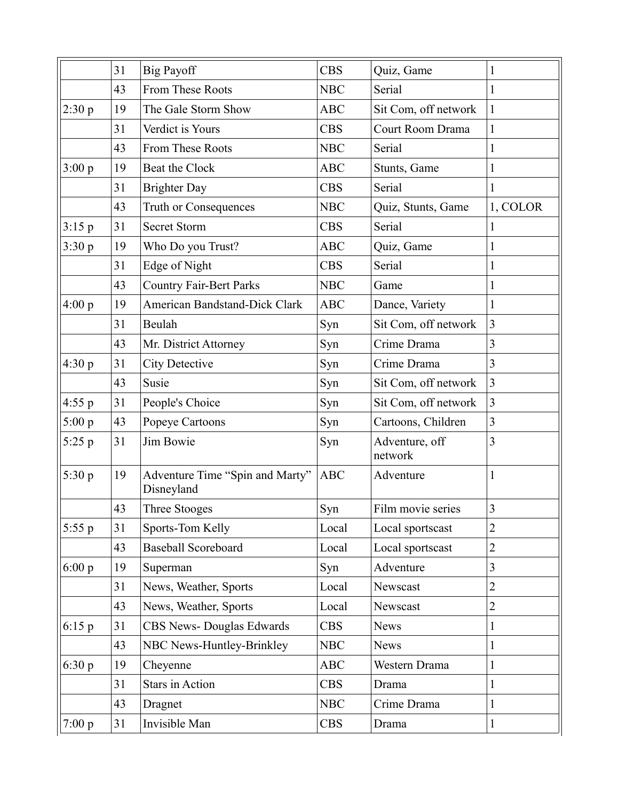|          | 31 | <b>Big Payoff</b>                             | <b>CBS</b> | Quiz, Game                | $\mathbf{1}$   |
|----------|----|-----------------------------------------------|------------|---------------------------|----------------|
|          | 43 | From These Roots                              | <b>NBC</b> | Serial                    | 1              |
| 2:30 p   | 19 | The Gale Storm Show                           | <b>ABC</b> | Sit Com, off network      | $\mathbf{1}$   |
|          | 31 | Verdict is Yours                              | <b>CBS</b> | Court Room Drama          | $\mathbf{1}$   |
|          |    |                                               | <b>NBC</b> |                           |                |
|          | 43 | From These Roots                              |            | Serial                    | $\mathbf{1}$   |
| 3:00 p   | 19 | Beat the Clock                                | <b>ABC</b> | Stunts, Game              | $\mathbf{1}$   |
|          | 31 | <b>Brighter Day</b>                           | <b>CBS</b> | Serial                    | 1              |
|          | 43 | Truth or Consequences                         | <b>NBC</b> | Quiz, Stunts, Game        | 1, COLOR       |
| 3:15 p   | 31 | <b>Secret Storm</b>                           | <b>CBS</b> | Serial                    | $\mathbf{1}$   |
| 3:30 p   | 19 | Who Do you Trust?                             | <b>ABC</b> | Quiz, Game                | $\mathbf{1}$   |
|          | 31 | Edge of Night                                 | <b>CBS</b> | Serial                    | $\mathbf{1}$   |
|          | 43 | <b>Country Fair-Bert Parks</b>                | <b>NBC</b> | Game                      | $\mathbf{1}$   |
| 4:00 p   | 19 | American Bandstand-Dick Clark                 | <b>ABC</b> | Dance, Variety            | 1              |
|          | 31 | Beulah                                        | Syn        | Sit Com, off network      | 3              |
|          | 43 | Mr. District Attorney                         | Syn        | Crime Drama               | 3              |
| 4:30 p   | 31 | <b>City Detective</b>                         | Syn        | Crime Drama               | 3              |
|          | 43 | Susie                                         | Syn        | Sit Com, off network      | 3              |
| 4:55 p   | 31 | People's Choice                               | Syn        | Sit Com, off network      | 3              |
| 5:00 p   | 43 | Popeye Cartoons                               | Syn        | Cartoons, Children        | 3              |
| $5:25$ p | 31 | Jim Bowie                                     | Syn        | Adventure, off<br>network | 3              |
| 5:30 p   | 19 | Adventure Time "Spin and Marty"<br>Disneyland | <b>ABC</b> | Adventure                 | 1              |
|          | 43 | Three Stooges                                 | Syn        | Film movie series         | 3              |
| $5:55$ p | 31 | Sports-Tom Kelly                              | Local      | Local sportscast          | $\overline{2}$ |
|          | 43 | <b>Baseball Scoreboard</b>                    | Local      | Local sportscast          | $\overline{2}$ |
| 6:00 p   | 19 | Superman                                      | Syn        | Adventure                 | 3              |
|          | 31 | News, Weather, Sports                         | Local      | Newscast                  | $\overline{2}$ |
|          | 43 | News, Weather, Sports                         | Local      | Newscast                  | $\overline{2}$ |
| 6:15p    | 31 | CBS News- Douglas Edwards                     | <b>CBS</b> | <b>News</b>               | $\mathbf{1}$   |
|          | 43 | NBC News-Huntley-Brinkley                     | <b>NBC</b> | <b>News</b>               | $\mathbf{1}$   |
| 6:30 p   | 19 | Cheyenne                                      | ABC        | Western Drama             | $\mathbf{1}$   |
|          | 31 | Stars in Action                               | <b>CBS</b> | Drama                     | $\mathbf{1}$   |
|          | 43 | Dragnet                                       | <b>NBC</b> | Crime Drama               | $\mathbf{1}$   |
| 7:00 p   | 31 | Invisible Man                                 | <b>CBS</b> | Drama                     | $\mathbf{1}$   |